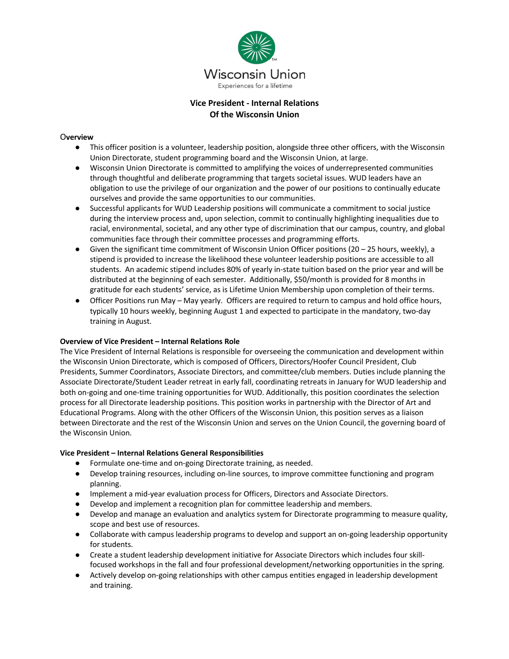

# **Vice President - Internal Relations Of the Wisconsin Union**

#### O**verview**

- This officer position is a volunteer, leadership position, alongside three other officers, with the Wisconsin Union Directorate, student programming board and the Wisconsin Union, at large.
- Wisconsin Union Directorate is committed to amplifying the voices of underrepresented communities through thoughtful and deliberate programming that targets societal issues. WUD leaders have an obligation to use the privilege of our organization and the power of our positions to continually educate ourselves and provide the same opportunities to our communities.
- Successful applicants for WUD Leadership positions will communicate a commitment to social justice during the interview process and, upon selection, commit to continually highlighting inequalities due to racial, environmental, societal, and any other type of discrimination that our campus, country, and global communities face through their committee processes and programming efforts.
- $\bullet$  Given the significant time commitment of Wisconsin Union Officer positions (20 25 hours, weekly), a stipend is provided to increase the likelihood these volunteer leadership positions are accessible to all students. An academic stipend includes 80% of yearly in-state tuition based on the prior year and will be distributed at the beginning of each semester. Additionally, \$50/month is provided for 8 months in gratitude for each students' service, as is Lifetime Union Membership upon completion of their terms.
- Officer Positions run May May yearly. Officers are required to return to campus and hold office hours, typically 10 hours weekly, beginning August 1 and expected to participate in the mandatory, two-day training in August.

#### **Overview of Vice President – Internal Relations Role**

The Vice President of Internal Relations is responsible for overseeing the communication and development within the Wisconsin Union Directorate, which is composed of Officers, Directors/Hoofer Council President, Club Presidents, Summer Coordinators, Associate Directors, and committee/club members. Duties include planning the Associate Directorate/Student Leader retreat in early fall, coordinating retreats in January for WUD leadership and both on-going and one-time training opportunities for WUD. Additionally, this position coordinates the selection process for all Directorate leadership positions. This position works in partnership with the Director of Art and Educational Programs. Along with the other Officers of the Wisconsin Union, this position serves as a liaison between Directorate and the rest of the Wisconsin Union and serves on the Union Council, the governing board of the Wisconsin Union.

#### **Vice President – Internal Relations General Responsibilities**

- Formulate one-time and on-going Directorate training, as needed.
- Develop training resources, including on-line sources, to improve committee functioning and program planning.
- Implement a mid-year evaluation process for Officers, Directors and Associate Directors.
- Develop and implement a recognition plan for committee leadership and members.
- Develop and manage an evaluation and analytics system for Directorate programming to measure quality, scope and best use of resources.
- Collaborate with campus leadership programs to develop and support an on-going leadership opportunity for students.
- Create a student leadership development initiative for Associate Directors which includes four skillfocused workshops in the fall and four professional development/networking opportunities in the spring.
- Actively develop on-going relationships with other campus entities engaged in leadership development and training.